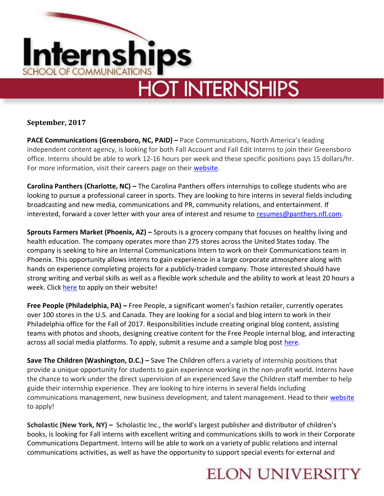

**September, 2017**

**PACE Communications (Greensboro, NC, PAID) – Pace Communications, North America's leading** independent content agency, is looking for both Fall Account and Fall Edit Interns to join their Greensboro office. Interns should be able to work 12-16 hours per week and these specific positions pays 15 dollars/hr. For more information, visit their careers page on their [website.](https://www.paceco.com/careers/)

**Carolina Panthers (Charlotte, NC) –** The Carolina Panthers offers internships to college students who are looking to pursue a professional career in sports. They are looking to hire interns in several fields including broadcasting and new media, communications and PR, community relations, and entertainment. If interested, forward a cover letter with your area of interest and resume to [resumes@panthers.nfl.com.](mailto:resumes@panthers.nfl.com)

**Sprouts Farmers Market (Phoenix, AZ) –** Sprouts is a grocery company that focuses on healthy living and health education. The company operates more than 275 stores across the United States today. The company is seeking to hire an Internal Communications Intern to work on their Communications team in Phoenix. This opportunity allows interns to gain experience in a large corporate atmosphere along with hands on experience completing projects for a publicly-traded company. Those interested should have strong writing and verbal skills as well as a flexible work schedule and the ability to work at least 20 hours a week. Click [here](https://storesupport-sprouts.icims.com/jobs/26646/internal-communications-intern-%28fall-2017%29/job?mode=job&iis=Indeed&iisn=Indeed.com&mobile=false&width=825&height=500&bga=true&needsRedirect=false&jan1offset=-300&jun1offset=-240) to apply on their website!

**Free People (Philadelphia, PA) –** Free People, a significant women's fashion retailer, currently operates over 100 stores in the U.S. and Canada. They are looking for a social and blog intern to work in their Philadelphia office for the Fall of 2017. Responsibilities include creating original blog content, assisting teams with photos and shoots, designing creative content for the Free People internal blog, and interacting across all social media platforms. To apply, submit a resume and a sample blog post [here.](https://career4.successfactors.com/career?career_ns=job_listing&company=URBN&navBarLevel=JOB_SEARCH&rcm_site_locale=en_US&site=VjItQWt5MjVDbnNGNGlkV21MMFpPZDkrdz09&career_job_req_id=64075&selected_lang=en_US&jobAlertController_jobAlertId=&jobAlert)

**Save The Children (Washington, D.C.) –** Save The Children offers a variety of internship positions that provide a unique opportunity for students to gain experience working in the non-profit world. Interns have the chance to work under the direct supervision of an experienced Save the Children staff member to help guide their internship experience. They are looking to hire interns in several fields including communications management, new business development, and talent management. Head to their [website](http://www.savethechildren.org/site/c.8rKLIXMGIpI4E/b.6115947/k.B143/Official_USA_Site.htm) to apply!

**Scholastic (New York, NY) –** Scholastic Inc., the world's largest publisher and distributor of children's books, is looking for Fall interns with excellent writing and communications skills to work in their Corporate Communications Department. Interns will be able to work on a variety of public relations and internal communications activities, as well as have the opportunity to support special events for external and

## **ELON UNIVERSITY**